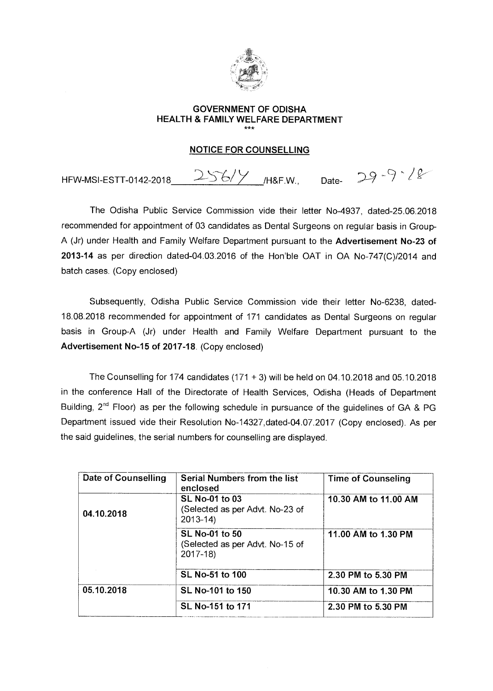

#### **GOVERNMENT OF ODISHA HEALTH & FAMILY WELFARE DEPARTMENT**  \*\*\*

#### **NOTICE FOR COUNSELLING**

HFW-MSI-ESTT-0142-2018 256/Y M&F.W., Date- 29-9-12

The Odisha Public Service Commission vide their letter No-4937, dated-25.06.2018 recommended for appointment of 03 candidates as Dental Surgeons on regular basis in Group-A (Jr) under Health and Family Welfare Department pursuant to the **Advertisement No-23 of 2013-14** as per direction dated-04.03.2016 of the Hon'ble OAT in OA No-747(C)/2014 and batch cases. (Copy enclosed)

Subsequently, Odisha Public Service Commission vide their letter No-6238, dated-18.08.2018 recommended for appointment of 171 candidates as Dental Surgeons on regular basis in Group-A (Jr) under Health and Family Welfare Department pursuant to the **Advertisement No-15 of 2017-18.** (Copy enclosed)

The Counselling for 174 candidates  $(171 + 3)$  will be held on 04.10.2018 and 05.10.2018 in the conference Hall of the Directorate of Health Services, Odisha (Heads of Department Building,  $2^{nd}$  Floor) as per the following schedule in pursuance of the guidelines of GA & PG Department issued vide their Resolution No-14327,dated-04.07.2017 (Copy enclosed). As per the said guidelines, the serial numbers for counselling are displayed.

| Date of Counselling | Serial Numbers from the list<br>enclosed                                | <b>Time of Counseling</b> |  |  |
|---------------------|-------------------------------------------------------------------------|---------------------------|--|--|
| 04.10.2018          | <b>SL No-01 to 03</b><br>(Selected as per Advt. No-23 of<br>$2013 - 14$ | 10.30 AM to 11.00 AM      |  |  |
|                     | SL No-01 to 50<br>(Selected as per Advt. No-15 of<br>$2017 - 18$        | 11.00 AM to 1.30 PM       |  |  |
|                     | SL No-51 to 100                                                         | 2.30 PM to 5.30 PM        |  |  |
| 05.10.2018          | SL No-101 to 150                                                        | 10.30 AM to 1.30 PM       |  |  |
|                     | SL No-151 to 171                                                        | 2.30 PM to 5.30 PM        |  |  |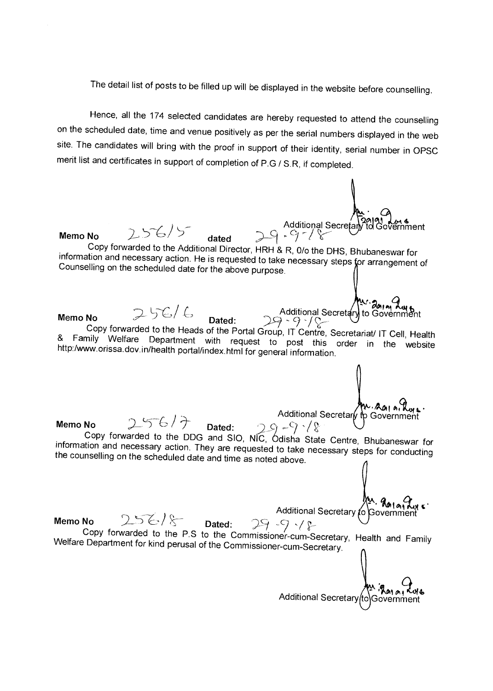The detail list of posts to be filled up will be displayed in the website before counselling.

Hence, all the 174 selected candidates are hereby requested to attend the counselling on the scheduled date, time and venue positively as per the serial numbers displayed in the web site. The candidates will bring with the proof in support of their identity, serial number in OPSC merit list and certificates in support of completion of P.G / S.R, if completed.

S.R, if completed.<br>
Additional Secretary to Government<br>
Additional Secretary to Government ẽrnment Memo No 256/5<br>**Memo No 256/5** dated 29-7/8 Copy forwarded to the Additional Director, HRH & R, 0/o the DHS, Bhubaneswar for information and necessary action. He is requested to take necessary steps for arrangement of Counselling on the scheduled date for the above purpose.  $\mu$ <sup>2</sup> agreed August 2014 **Memo No 256/6 Dated:** Additional Secretary to Government **Memo No -** 9 -/,,---- Copy forwarded to the Heads of the Portal Group, IT Centre, Secretariat/ IT Cell, Health & Family Welfare Department with request to post this order in the website http:/www.orissa.dov.in/health portal/index.html for general information. ~**<sup>0</sup>**► **1 a, •**  Additional Secretary to Government Memo No 256/7 Dated: 29-17<br>
Copy forwarded to the DDG and SIO, NIC, Odisha State Centre, Bhubaneswar for information and necessary action. They are requested to take necessary steps for conducting the counselling on the scheduled date and time as noted above. Additional Secretary to Government **Memo No**  $256/8$  **Dated:** 29 -9  $\sqrt{8}$ Copy forwarded to the P.S to the Commissioner-cum-Secretary, Health and Family Welfare Department for kind perusal of the Commissioner-cum-Secretary. An : Allia Ave<br>Additional Secretary (to Government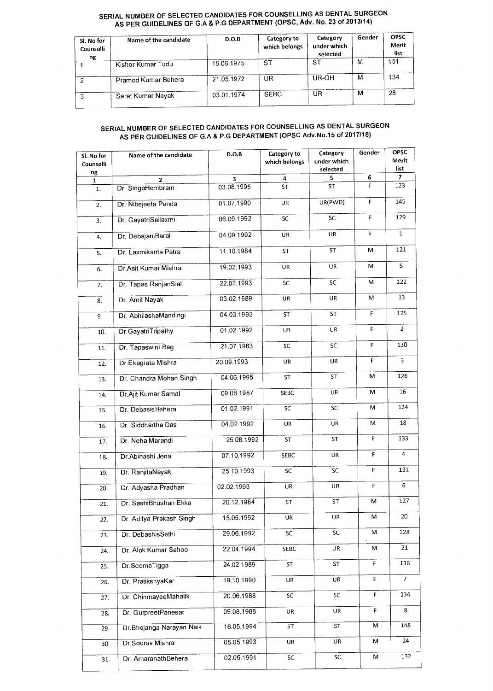#### **SERIAL NUMBER OF SELECTED CANDIDATES FOR COUNSELLING AS DENTAL SURGEON AS PER GUIDELINES OF G.A & P.G DEPARTMENT (OPSC, Adv. No. 23 of 2013/14)**

| Sl. No for<br>Counselli<br>ng | Name of the candidate | D.O.B      | Category to<br>which belongs | Category<br>under which<br>selected | Gender | <b>OPSC</b><br>Merit<br>list |
|-------------------------------|-----------------------|------------|------------------------------|-------------------------------------|--------|------------------------------|
|                               | Kishor Kumar Tudu     | 15.06.1975 | ST                           | <b>ST</b>                           | м      | 151                          |
|                               | Pramod Kumar Behera   | 21.05.1972 | UR                           | UR-OH                               | м      | 134                          |
|                               | Sarat Kumar Nayak     | 03.01.1974 | <b>SEBC</b>                  | UR.                                 | м      | 28                           |

#### **SERIAL NUMBER OF SELECTED CANDIDATES FOR COUNSELLING AS DENTAL SURGEON AS PER GUIDELINES OF G.A & P.G DEPARTMENT (OPSC Adv.No.15 of 2017/18)**

| Sl. No for<br>Counselli | Name of the candidate     | D.O.B      | Category to<br>which belongs | Category<br>under which<br>selected | Gender | <b>OPSC</b><br>Merit<br>list |
|-------------------------|---------------------------|------------|------------------------------|-------------------------------------|--------|------------------------------|
| ng<br>1                 | $\overline{2}$            | 3          | 4                            | 5                                   | 6      | 7                            |
| 1.                      | Dr. SingoHembram          | 03.08.1995 | <b>ST</b>                    | <b>ST</b>                           | F      | 123                          |
| 2.                      | Dr. Nibejeeta Panda       | 01.07.1990 | UR                           | UR(PWD)                             | F      | 145                          |
| 3.                      | Dr. GayatriSailaxmi       | 06.09.1992 | <b>SC</b>                    | SC                                  | F      | 129                          |
| 4.                      | Dr. DebajaniBaral         | 04.09.1992 | UR                           | UR                                  | F      | $\mathbf{1}$                 |
| 5.                      | Dr. Laxmikanta Patra      | 11.10.1984 | ST                           | ST                                  | M      | 121                          |
| 6.                      | Dr.Asit Kumar Mishra      | 19.02.1993 | <b>UR</b>                    | UR                                  | м      | 5                            |
| 7.                      | Dr. Tapas RanjanSial      | 22.02.1993 | SC                           | SC                                  | M      | 122                          |
| 8.                      | Dr. Amit Nayak            | 03.02.1989 | UR                           | UR                                  | м      | 13                           |
| 9.                      | Dr. AbhilashaMandingi     | 04.03.1992 | <b>ST</b>                    | ST                                  | F      | 125                          |
| 10.                     | Dr. GayatriTripathy       | 01.02.1992 | UR                           | UR                                  | F      | $\overline{2}$               |
| 11.                     | Dr. Tapaswini Bag         | 21.07.1983 | SC                           | SC                                  | F      | 130                          |
| 12.                     | Dr.Ekagrata Mishra        | 20.09.1993 | <b>UR</b>                    | UR                                  | F      | 3                            |
| 13.                     | Dr. Chandra Mohan Singh   | 04.06.1995 | ST                           | <b>ST</b>                           | м      | 126                          |
| 14.                     | Dr. Ajit Kumar Samal      | 09.06.1987 | SEBC                         | UR                                  | Μ      | 16                           |
| 15.                     | Dr. Debasis Behera        | 01.02.1991 | SC                           | SC                                  | м      | 124                          |
| 16.                     | Dr. Siddhartha Das        | 04.02.1992 | UR                           | UR                                  | М      | 18                           |
| 17.                     | Dr. Neha Marandi          | 25.08.1992 | <b>ST</b>                    | <b>ST</b>                           | F      | 133                          |
| 18.                     | Dr.Abinashi Jena          | 07.10.1992 | SEBC                         | UR                                  | F      | 4                            |
| 19.                     | Dr. RanjitaNayak          | 25.10.1993 | SC                           | SC                                  | F      | 131                          |
| 20.                     | Dr. Adyasha Pradhan       | 02.02.1993 | UR                           | UR                                  | F      | 6                            |
| 21.                     | Dr. SashiBhushan Ekka     | 20.12.1984 | ST                           | <b>ST</b>                           | М      | 127                          |
| 22.                     | Dr. Aditya Prakash Singh  | 15.05.1992 | UR                           | UR                                  | м      | 20                           |
| 23.                     | Dr. DebashisSethi         | 29.06.1992 | <b>SC</b>                    | <b>SC</b>                           | м      | 128                          |
| 24.                     | Dr. Alok Kumar Sahoo      | 22.04.1994 | SEBC                         | UR                                  | м      | 21                           |
| 25.                     | Dr. SeemaTigga            | 24.02.1989 | ST                           | <b>ST</b>                           | F      | 136                          |
| 26.                     | Dr. PratikshyaKar         | 19.10.1990 | UR.                          | <b>UR</b>                           | F.     | 7                            |
| 27.                     | Dr. ChinmayeeMahalik      | 20.06.1988 | <b>SC</b>                    | SC.                                 | F      | 134                          |
| 28.                     | Dr. GurpreetPanesar       | 09.08.1988 | <b>UR</b>                    | UR                                  | F      | 8                            |
| 29.                     | Dr. Bhojanga Narayan Naik | 16.05.1994 | ST                           | ST                                  | М      | 148                          |
| 30.                     | Dr.Sourav Mishra          | 05.05.1993 | UR                           | UR                                  | M.     | 24                           |
| 31.                     | Dr. AmaranathBehera       | 02.05.1991 | SC                           | SC                                  | М      | 132                          |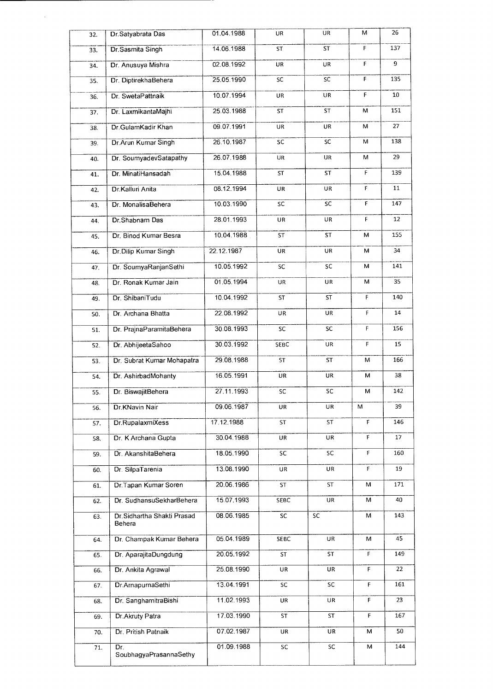| 32. | Dr.Satyabrata Das                    | 01.04.1988 | UR              | UR        | м           | 26  |
|-----|--------------------------------------|------------|-----------------|-----------|-------------|-----|
| 33. | Dr. Sasmita Singh                    | 14.06.1988 | ST              | <b>ST</b> | F           | 137 |
| 34. | Dr. Anusuya Mishra                   | 02.08.1992 | UR              | UR        | F           | 9   |
| 35. | Dr. DiptirekhaBehera                 | 25.05.1990 | SC              | SC        | F           | 135 |
| 36. | Dr. SwetaPattnaik                    | 10.07.1994 | UR              | UR        | F.          | 10  |
| 37. | Dr. LaxmikantaMajhi                  | 25.03.1988 | ST              | ST        | M           | 151 |
| 38. | Dr.GulamKadir Khan                   | 09.07.1991 | UR              | UR        | М           | 27  |
| 39. | Dr. Arun Kumar Singh                 | 26.10.1987 | SC              | SC        | M           | 138 |
| 40. | Dr. SoumyadevSatapathy               | 26.07.1988 | UR.             | <b>UR</b> | м           | 29  |
| 41. | Dr. MinatiHansadah                   | 15.04.1988 | ST              | ST        | F           | 139 |
| 42. | Dr.Kalluri Anita                     | 08.12.1994 | UR              | UR        | F           | 11  |
| 43. | Dr. MonalisaBehera                   | 10.03.1990 | SC              | SC        | F           | 147 |
| 44. | Dr.Shabnam Das                       | 28.01.1993 | UR              | UR        | F           | 12  |
| 45. | Dr. Binod Kumar Besra                | 10.04.1988 | ST              | ST        | М           | 155 |
| 46. | Dr.Dilip Kumar Singh                 | 22.12.1987 | <b>UR</b>       | UR        | М           | 34  |
| 47. | Dr. SoumyaRanjanSethi                | 10.05.1992 | <b>SC</b>       | SC        | м           | 141 |
| 48. | Dr. Ronak Kumar Jain                 | 01.05.1994 | UR              | UR        | М           | 35  |
| 49. | Dr. ShibaniTudu                      | 10.04.1992 | <b>ST</b>       | ST        | F           | 140 |
| 50. | Dr. Archana Bhatta                   | 22.08.1992 | UR              | UR        | F           | 14  |
| 51. | Dr. PrajnaParamitaBehera             | 30.08.1993 | SC              | SC        | F           | 156 |
| 52. | Dr. AbhijeetaSahoo                   | 30.03.1992 | SEBC            | UR        | F           | 15  |
| 53. | Dr. Subrat Kumar Mohapatra           | 29.08.1988 | <b>ST</b>       | <b>ST</b> | M           | 166 |
| 54. | Dr. AshirbadMohanty                  | 16.05.1991 | UR              | UR        | м           | 38  |
| 55. | Dr. BiswajitBehera                   | 27.11.1993 | SC              | SC        | М           | 142 |
| 56. | Dr. KNavin Nair                      | 09.06.1987 | UR              | UR        | M           | 39  |
| 57. | Dr.RupalaxmiXess                     | 17.12.1988 | ST              | ST        | F           | 146 |
| 58. | Dr. K Archana Gupta                  | 30.04.1988 | UR              | UR        | F           | 17  |
| 59. | Dr. AkanshitaBehera                  | 18.05.1990 | <b>SC</b>       | SC        | F           | 160 |
| 60. | Dr. SilpaTarenia                     | 13.08.1990 | UR              | UR        | $\mathsf F$ | 19  |
| 61. | Dr.Tapan Kumar Soren                 | 20.06.1986 | <b>ST</b>       | <b>ST</b> | М           | 171 |
| 62. | Dr. SudhansuSekharBehera             | 15.07.1993 | SEBC            | UR        | м           | 40  |
| 63. | Dr.Sidhartha Shakti Prasad<br>Behera | 08.06.1985 | $\overline{SC}$ | SC        | M           | 143 |
| 64. | Dr. Champak Kumar Behera             | 05.04.1989 | <b>SEBC</b>     | UR        | М           | 45  |
| 65. | Dr. AparajitaDungdung                | 20.05.1992 | ST              | ST        | F.          | 149 |
| 66. | Dr. Ankita Agrawal                   | 25.08.1990 | UR              | UR        | F           | 22  |
| 67. | Dr.AmapurnaSethi                     | 13.04.1991 | SC              | SC        | F           | 161 |
| 68. | Dr. SanghamitraBishi                 | 11.02.1993 | UR              | UR        | F           | 23  |
| 69. | Dr. Akruty Patra                     | 17.03.1990 | ST              | ST        | F           | 167 |
| 70. | Dr. Pritish Patnaik                  | 07.02.1987 | UR              | UR        | M           | 50  |
| 71. | Dr.<br>SoubhagyaPrasannaSethy        | 01.09.1988 | SC.             | <b>SC</b> | м           | 144 |

 $\bar{z}$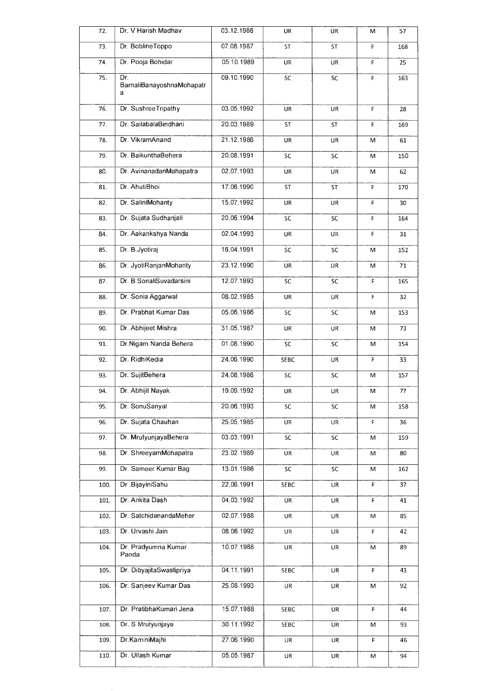| 72.  | Dr. V Harish Madhav                   | 03.12.1986 | UR              | UR        | M           | 57  |
|------|---------------------------------------|------------|-----------------|-----------|-------------|-----|
| 73.  | Dr. BoblineToppo                      | 07.08.1987 | <b>ST</b>       | <b>ST</b> | F           | 168 |
| 74.  | Dr. Pooja Bohidar                     | 05.10.1989 | UR              | UR        | F           | 25  |
| 75.  | Dr.<br>BarnaliBanayoshnaMohapatr<br>a | 09.10.1990 | SC              | SC        | F           | 163 |
| 76.  | Dr. Sushree Tripathy                  | 03.05.1992 | UR              | UR        | F           | 28  |
| 77.  | Dr. SailabalaBindhani                 | 20.03.1989 | <b>ST</b>       | <b>ST</b> | F           | 169 |
| 78.  | Dr. VikramAnand                       | 21.12.1986 | UR              | UR        | M           | 61  |
| 79.  | Dr. BaikunthaBehera                   | 20.08.1991 | SC              | SC        | м           | 150 |
| 80.  | Dr. AvinanadanMahapatra               | 02.07.1993 | <b>UR</b>       | UR        | M           | 62  |
| 81.  | Dr. AhutiBhoi                         | 17.06.1990 | ST              | <b>ST</b> | F           | 170 |
| 82.  | Dr. SaliniMohanty                     | 15.07.1992 | UR              | UR        | F           | 30  |
| 83.  | Dr. Sujata Sudhanjali                 | 20.06.1994 | SC              | <b>SC</b> | F           | 164 |
| 84.  | Dr. Aakankshya Nanda                  | 02.04.1993 | <b>UR</b>       | <b>UR</b> | F           | 31  |
| 85.  | Dr. B. Jyotiraj                       | 16.04.1991 | SC              | <b>SC</b> | M           | 152 |
| 86.  | Dr. JyotiRanjanMohanty                | 23.12.1990 | UR              | UR        | м           | 71  |
| 87.  | Dr. B. SonaliSuvadarsini              | 12.07.1993 | SC              | <b>SC</b> | F           | 165 |
| 88.  | Dr. Sonia Aggarwal                    | 08.02.1985 | UR              | UR        | F           | 32  |
| 89.  | Dr. Prabhat Kumar Das                 | 05.06.1986 | SC              | SC        | м           | 153 |
| 90.  | Dr. Abhijeet Mishra                   | 31.05.1987 | UR              | <b>UR</b> | М           | 73  |
| 91.  | Dr.Nigam Nanda Behera                 | 01.08.1990 | SC              | <b>SC</b> | м           | 154 |
| 92.  | Dr. RidhiKedia                        | 24.06.1990 | SEBC            | UR        | F           | 33  |
| 93.  | Dr. SujitBehera                       | 24.08.1986 | SC              | SC        | М           | 157 |
| 94.  | Dr. Abhijit Nayak                     | 19.09.1992 | UR              | UR        | M           | 77  |
| 95.  | Dr. SonuSanyal                        | 20.06.1993 | SC              | SC        | м           | 158 |
| 96   | Dr. Sujata Chauhan                    | 25.05.1985 | UR              | UR        | $\mathsf F$ | 36  |
| 97.  | Dr. MrutyunjayaBehera                 | 03.03.1991 | $\overline{SC}$ | SC        | м           | 159 |
| 98.  | Dr. ShreeyamMohapatra                 | 23.02.1989 | UR              | UR        | м           | 80  |
| 99.  | Dr. Sameer Kumar Bag                  | 13.01.1986 | SC              | <b>SC</b> | м           | 162 |
| 100. | Dr BijayiniSahu                       | 22.06.1991 | SEBC            | UR        | F           | 37  |
| 101. | Dr. Ankita Dash                       | 04.03.1992 | <b>UR</b>       | <b>UR</b> | $\mathsf F$ | 41  |
| 102. | Dr. SatchidanandaMeher                | 02.07.1988 | UR              | UR        | M           | 85  |
| 103. | Dr. Urvashi Jain                      | 08.06.1992 | UR              | UR        | F           | 42  |
| 104. | Dr. Pradyumna Kumar<br>Panda          | 10.07.1988 | UR              | UR        | M           | 89  |
| 105. | Dr. DibyajitaSwastipriya              | 04.11.1991 | SEBC            | UR        | F           | 43  |
| 106. | Dr. Sanjeev Kumar Das                 | 25.08.1993 | UR              | UR        | М           | 92  |
| 107. | Dr. PratibhaKumari Jena               | 15.07.1988 | SEBC            | UR        | F           | 44  |
| 108. | Dr. S Mrutyunjaya                     | 30.11.1992 | <b>SEBC</b>     | UR        | М           | 93  |
| 109. | Dr.KaminiMajhi                        | 27.06.1990 | <b>UR</b>       | UR        | F           | 46  |
| 110. | Dr. Ullash Kumar                      | 05.05.1987 | UR              | <b>UR</b> | М           | 94  |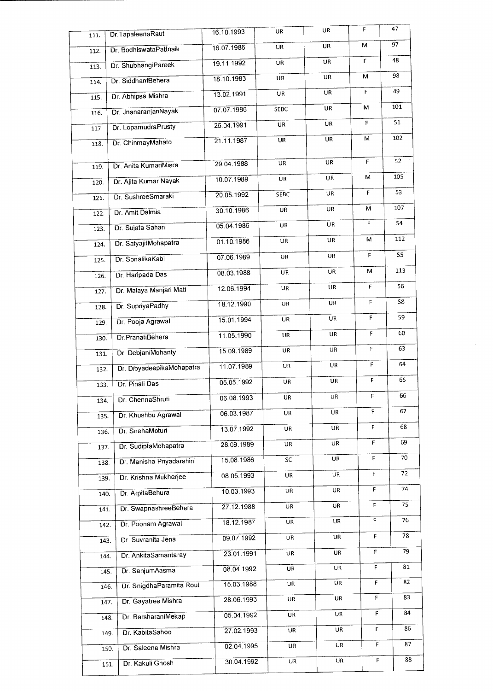| 111. | Dr.TapaleenaRaut          | 16.10.1993 | UR          | UR | F           | 47  |
|------|---------------------------|------------|-------------|----|-------------|-----|
| 112. | Dr. BodhiswataPattnaik    | 16.07.1986 | UR          | UR | М           | 97  |
| 113. | Dr. ShubhangiPareek       | 19.11.1992 | UR          | UR | F.          | 48  |
| 114. | Dr. SiddhantBehera        | 18.10.1983 | UR          | UR | м           | 98  |
| 115. | Dr. Abhipsa Mishra        | 13.02.1991 | UR          | UR | F           | 49  |
| 116. | Dr. JnanaranjanNayak      | 07.07.1986 | <b>SEBC</b> | UR | M           | 101 |
| 117. | Dr. LopamudraPrusty       | 26.04.1991 | UR          | UR | F           | 51  |
| 118. | Dr. ChinmayMahato         | 21.11.1987 | UR          | UR | М           | 102 |
|      |                           | 29.04.1988 | UR          | UR | F           | 52  |
| 119. | Dr. Anita KumariMisra     | 10.07.1989 | UR          | UR | М           | 105 |
| 120. | Dr. Ajita Kumar Nayak     | 20.05.1992 | SEBC        | UR | F           | 53  |
| 121. | Dr. SushreeSmaraki        |            | UR          | UR | M.          | 107 |
| 122. | Dr. Amit Dalmia           | 30.10.1986 |             |    | F.          | 54  |
| 123. | Dr. Sujata Sahani         | 05.04.1986 | UR          | UR |             |     |
| 124. | Dr. SatyajitMohapatra     | 01.10.1986 | UR          | UR | м           | 112 |
| 125. | Dr. SonalikaKabi          | 07.06.1989 | UR          | UR | F           | 55  |
| 126. | Dr. Haripada Das          | 08.03.1988 | UR          | UR | м           | 113 |
| 127. | Dr. Malaya Manjari Mati   | 12.06.1994 | UR          | UR | F           | 56  |
| 128. | Dr. SupriyaPadhy          | 18.12.1990 | UR          | UR | F           | 58  |
| 129. | Dr. Pooja Agrawal         | 15.01.1994 | UR          | UR | F           | 59  |
| 130. | Dr.PranatiBehera          | 11.05.1990 | UR          | UR | $\mathsf F$ | 60  |
| 131. | Dr. DebjaniMohanty        | 15.09.1989 | UR          | UR | F           | 63  |
| 132. | Dr. DibyadeepikaMohapatra | 11.07.1989 | UR          | UR | F           | 64  |
| 133. | Dr. Pinali Das            | 05.05.1992 | UR          | UR | F           | 65  |
| 134. | Dr. ChennaShruti          | 06.08.1993 | UR          | UR | F           | 66  |
| 135. | Dr. Khushbu Agrawal       | 06.03.1987 | UR          | UR | F           | 67  |
| 136. | Dr. SnehaMoturi           | 13.07.1992 | UR          | UR | F           | 68  |
| 137. | Dr. SudiptaMohapatra      | 28.09.1989 | UR          | UR | Ë.          | 69  |
| 138. | Dr. Manisha Priyadarshini | 15.08.1986 | SC          | UR | F           | 70  |
| 139. | Dr. Krishna Mukherjee     | 08.05.1993 | UR          | UR | F           | 72  |
| 140. | Dr. ArpitaBehura          | 10.03.1993 | UR          | UR | F           | 74  |
| 141. | Dr. SwapnashreeBehera     | 27.12.1988 | UR          | UR | F           | 75  |
| 142. | Dr. Poonam Agrawal        | 18.12.1987 | UR          | UR | F           | 76  |
| 143. | Dr. Suvranita Jena        | 09.07.1992 | UR          | UR | $\mathsf F$ | 78  |
| 144  | Dr. AnkitaSamantaray      | 23.01.1991 | UR          | UR | $\mathsf F$ | 79  |
| 145. | Dr. SanjumAasma           | 08.04.1992 | UR          | UR | $\mathsf F$ | 81  |
| 146. | Dr. SnigdhaParamita Rout  | 15.03.1988 | UR          | UR | F           | 82  |
| 147. | Dr. Gayatree Mishra       | 28.06.1993 | UR          | UR | $\mathsf F$ | 83  |
| 148. | Dr. BarsharaniMekap       | 05.04.1992 | UR          | UR | F.          | 84  |
| 149. | Dr. KabitaSahoo           | 27.02.1993 | UR          | UR | F           | 86  |
| 150. | Dr. Saleena Mishra        | 02.04.1995 | UR          | UR | F           | 87  |
| 151. | Dr. Kakuli Ghosh          | 30.04.1992 | UR          | UR | F           | 88  |
|      |                           |            |             |    |             |     |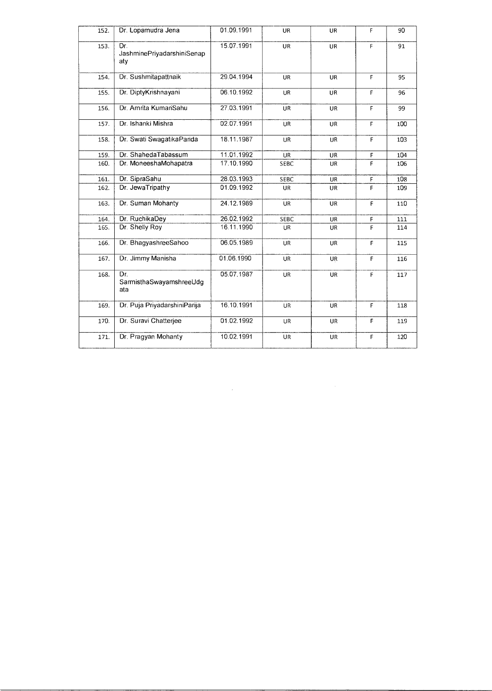| 152. | Dr. Lopamudra Jena                       | 01.09.1991 | <b>UR</b>   | UR        | F | 90  |
|------|------------------------------------------|------------|-------------|-----------|---|-----|
| 153. | Dr.<br>JashminePriyadarshiniSenap<br>aty | 15.07.1991 | UR          | UR        | F | 91  |
| 154. | Dr. Sushmitapattnaik                     | 29.04.1994 | UR          | <b>UR</b> | F | 95  |
| 155. | Dr. DiptyKrishnayani                     | 06.10.1992 | <b>UR</b>   | UR        | F | 96  |
| 156. | Dr. Amrita KumariSahu                    | 27.03.1991 | UR          | UR        | F | 99  |
| 157. | Dr. Ishanki Mishra                       | 02.07.1991 | UR          | UR        | F | 100 |
| 158. | Dr. Swati SwagatikaParida                | 18.11.1987 | UR          | UR        | F | 103 |
| 159. | Dr. ShahedaTabassum                      | 11.01.1992 | UR          | <b>UR</b> | F | 104 |
| 160. | Dr. MoneeshaMohapatra                    | 17.10.1990 | SEBC        | UR        | Ë | 106 |
| 161. | Dr. SipraSahu                            | 28.03.1993 | <b>SEBC</b> | <b>UR</b> | F | 108 |
| 162. | Dr. JewaTripathy                         | 01.09.1992 | <b>UR</b>   | UR        | F | 109 |
| 163. | Dr. Suman Mohanty                        | 24.12.1989 | UR          | <b>UR</b> | F | 110 |
| 164. | Dr. RuchikaDey                           | 26.02.1992 | <b>SEBC</b> | UR        | F | 111 |
| 165. | Dr. Shelly Roy                           | 16.11.1990 | UR          | <b>UR</b> | F | 114 |
| 166. | Dr. BhagyashreeSahoo                     | 06.05.1989 | UR          | UR        | F | 115 |
| 167. | Dr. Jimmy Manisha                        | 01.06.1990 | <b>UR</b>   | <b>UR</b> | F | 116 |
| 168. | Dr.<br>SarmisthaSwayamshreeUdg<br>ata    | 05.07.1987 | <b>UR</b>   | <b>UR</b> | F | 117 |
| 169. | Dr. Puja PriyadarshiniParija             | 16.10.1991 | UR          | <b>UR</b> | F | 118 |
| 170. | Dr. Suravi Chatterjee                    | 01.02.1992 | UR          | UR        | F | 119 |
| 171. | Dr. Pragyan Mohanty                      | 10.02.1991 | UR          | UR        | F | 120 |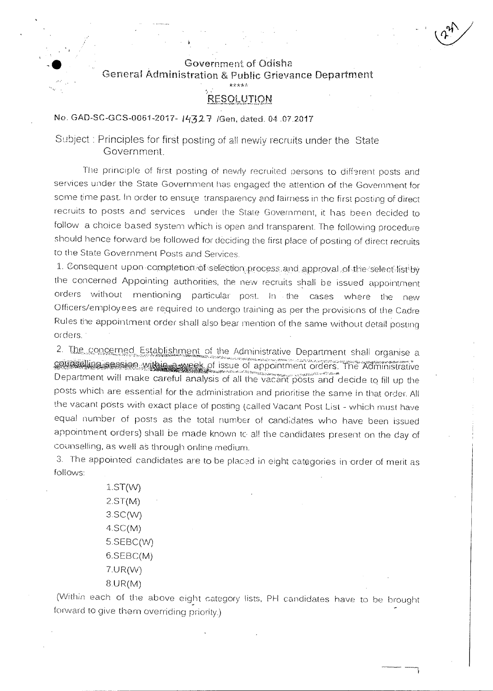

# Government of Odisha General Administration & Public Grievance Department

### **RESOLUTION**

No. GAD-SC-GCS-0061-2017- 1432 7 / Gen, dated. 04 .07.2017

Subject : Principles for first posting of all newly recruits under the State Government.

The principle of first posting of newly recruited persons to different posts and services under the State Government has engaged the attention of the Government for some time past. In order to ensure transparency and fairness in the first posting of direct recruits to posts and services under the State Government, it has been decided to follow a choice based system which is open and transparent. The following procedure should hence forward be followed for deciding the first place of posting of direct recruits to the State Government Posts and Services.

1. Consequent upon completion of selection process and approval of the select-list by the concerned Appointing authorities, the new recruits shall be issued appointment orders without mentioning particular post.. in • the cases where the new Officers/employees are required to undergo training as per the provisions of the Cadre Rules the appointment order shall also bear mention of the same without detail posting orders.

2. The concerned Establishment of the Administrative Department shall organise a<br>counselling session within a week of issue of appointment orders. The Administrative Department will make careful analysis of all the vacant posts and decide to fill up the posts which are essential for the administration and prioritise the same in that order. All the vacant posts with exact place of posting (called Vacant Post List - which must have equal number of posts as the total number of cand;dates who have been issued appointment orders) shall be made known to all the candidates present on the day of counselling, as well as through online medium\_

3. The appointed candidates are to be placed in eight categories in order of merit as follows:

> 1.ST(W) 2.ST(M) 3.SC(W)  $4SC(M)$  $5.$ SE $BC(W)$ 6.SEBC(M) 7.UR(W) 8.UR(M)

(Within each of the above eight category lists, PH candidates have to be brought forward to give them overriding priority.)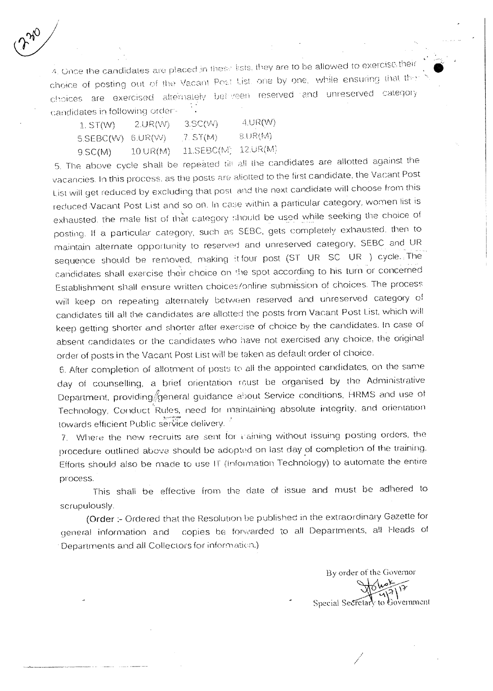4. Once the candidates are placed in these lists, they are to be allowed to exercise their choice of posting out of the Vacant Post List. one by one, while ensuring that choices are exercised altemately between reserved and unreserved category candidates in following order-

| $1.$ ST(W)          | 2.UR(W)        | 3.5C(W)    | 4.0R(W)     |
|---------------------|----------------|------------|-------------|
| $5.SEBC(W)$ 6.UR(W) |                | ,7. ST(M)  | 3.UR(M)     |
| 9.SC(M)             | $10.$ UR $(M)$ | 11.SEBC(W) | $-12$ UR(M) |

5. The above cycle shall be repeated till all the candidates are allotted against the vacancies. In this process. as the posts are aliotted to the first candidate, the Vacant Post List will get reduced by excluding that post and the next candidate will choose from this reduced Vacant Post List and so on. In case within a particular category, women list is exhausted, the male list of that category should be used while seeking the choice of posting. If a particular category, such as SEBC, gets completely exhausted. then to maintain alternate opportunity to reserved and unreserved category, SEBC and UR sequence should be removed, making it four post (ST UR SC UR ) cycle. The candidates shall exercise their choice on the spot according to his turn or concerned Establishment shall ensure written choices/online submission of choices\_ The process will keep on repeating alternately between reserved and unreserved category of candidates till all the candidates are allotted the posts from Vacant Post List, which will keep getting shorter and shorter after exercise of choice by the candidates. In case of absent candidates or the candidates who have not exercised any choice, the original order of posts in the Vacant Post List will be taken as default order of choice.

6. After completion of allotment of posts to all the appointed candidates, on the same day of counselling, a brief orientation roust be organised by the Administrative Department, providing general guidance about Service conditions, HRMS and use of Technology, Conduct Rules, need for maintaining absolute integrity, and orientation towards efficient Public service delivery.

7. Where the new recruits are sent for caining without issuing posting orders, the procedure outlined above, should be adopted on last day of completion of the training. Efforts should also be made to use IT (information Technology) to automate the entire process.

This shall be effective from the date of issue and must be adhered to scrupulously.

(Order :- Ordered that the Resolution be published in the extraordinary Gazette for general information and copies be forwarded to all Departments, all Heads of • Departments and all Collectors for information.)

By order of the Governor خرمهابه Special Secretary to Government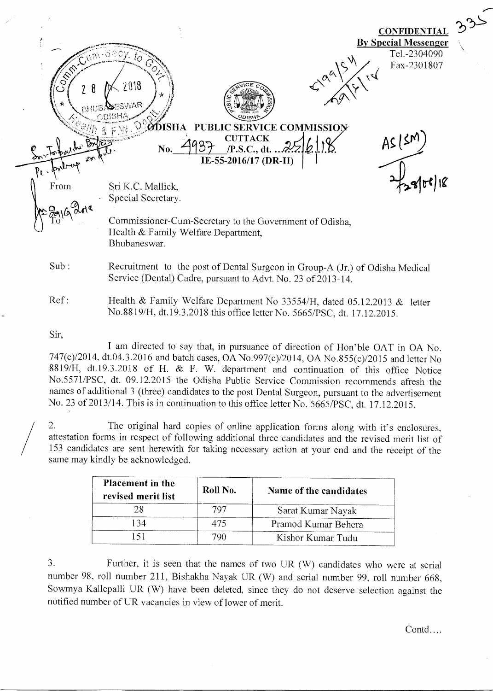**CONFIDENTIAL** By Special Messenger Tel.-2304090 Сy. ÍΘ Fax-2301807  $\sqrt{2}$ 2018 *\°\°\* ИR. opisHA **ØDISHA PUBLIC SERVICE COMMISSIO**  $\frac{37}{15}$  (P.S.C., dt. 25/6/18)<br>IE-55-2016/17 (DR-II) No.  $\frac{4937}{15.55 \cdot 2016/17}$  (DR-II)  $6.18$  AS (SN) **CUTTACK**  $7,800$   $8$ From Sri K.C. Mallick, Special Secretary. Commissioner-Cum-Secretary to the Government of Odisha, Health & Family Welfare Department, Bhubaneswar. Sub : Recruitment to the post of Dental Surgeon in Group-A (Jr.) of Odisha Medical Service (Dental) Cadre, pursuant to Advt. No. 23 of 2013-14. Ref : Health *&* Family Welfare Department No 33554/H, dated 05.12.2013 & letter No.8819/H, dt.19.3.2018 this office letter No. 5665/PSC, dt. 17.12.2015.

Sir,

I am directed to say that, in pursuance of direction of Hon'ble OAT in OA No. 747(c)/2014, dt.04.3.2016 and batch cases, OA No.997(c)/2014, OA No.855(c)/2015 and letter No 8819/H, dt.19.3.2018 of H. & F. W. department and continuation of this office Notice No.5571/PSC, dt. 09.12.2015 the Odisha Public Service Commission recommends afresh the names of additional 3 (three) candidates to the post Dental Surgeon, pursuant to the advertisement No. 23 of 2013/14. This is in continuation to this office letter No. 5665/PSC, dt. 17.12.2015.

2. The original hard copies of online application forms along with it's enclosures, attestation forms in respect of following additional three candidates and the revised merit list of 153 candidates are sent herewith for taking necessary action at your end and the receipt of the same may kindly be acknowledged.

| Placement in the<br>revised merit list | Roll No. | Name of the candidates |
|----------------------------------------|----------|------------------------|
|                                        |          | Sarat Kumar Nayak      |
|                                        |          | Pramod Kumar Behera    |
|                                        |          | Kishor Kumar Tudu      |

3. Further, it is seen that the names of two UR (W) candidates who were at serial number 98, roll number 211, Bishakha Nayak UR (W) and serial number 99, roll number 668, Sowmya Kallepalli UR (W) have been deleted, since they do not deserve selection against the notified number of UR vacancies in view of lower of merit.

Contd....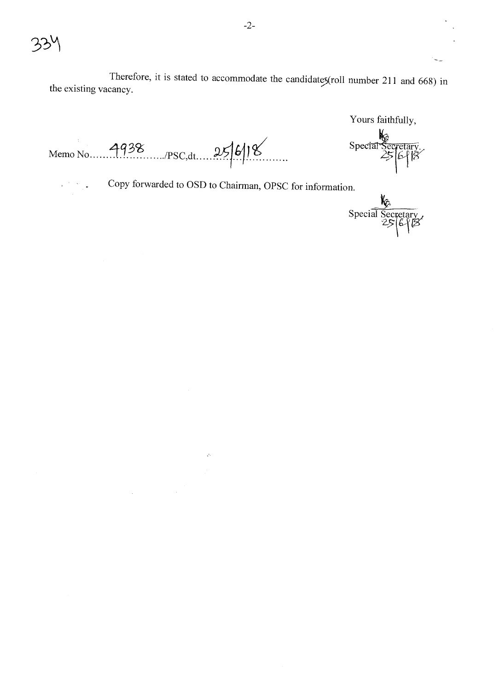$\omega$ 

Therefore, it is stated to accommodate the candidates (roll number 211 and 668) in the existing vacancy.

Yours faithfully,

Special Secretary.

Memo No. 4938 PSC, dt. 25/6/18

Copy forwarded to OSD to Chairman, OPSC for information.

 $\mathcal{A}$ 

 $\mathcal{L}^{\text{max}}_{\text{max}}$ 

Special Secretary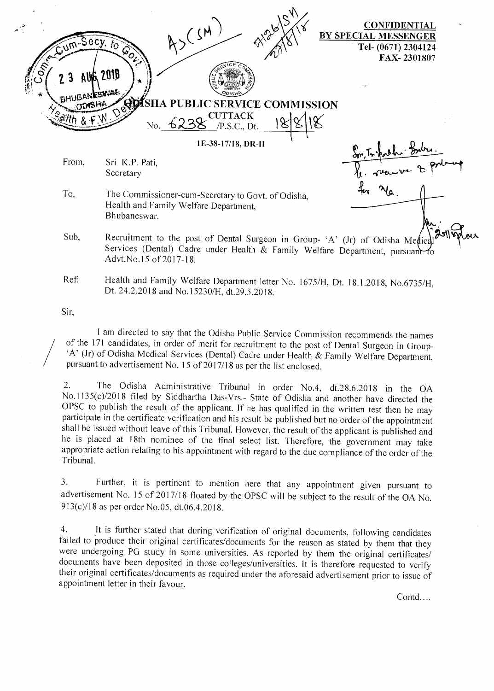$43(54)$ \'( CONFIDENTIAL BY SPECIAL MESSENGER Tel- (0671) 2304124 FAX- 2301807 **AING 2018 IGA!** SHA PUBLIC SERVICE COMMISSION TTACK No.  $6238$  P.S.C., Dt. 1E-38-17/18, DR-I1  $\frac{1}{2}$ From, Sri K.P. Pati, **1)4P-41**  Secretary To, The Commissioner-cum-Secretary to Govt. of Odisha, Health and Family Welfare Department, Bhubaneswar. Sub, Recruitment to the post of Dental Surgeon in Group- 'A' (Jr) of Odisha Medic Services (Dental) Cadre under Health & Family Welfare Department, pursuant Advt.No.15 of 2017-18.

Ref: Health and Family Welfare Department letter No. 1675/H, Dt. 18.1.2018, No.6735/H, Dt. 24.2.2018 and No.15230/H, dt.29.5.2018.

Sir,

I am directed to say that the Odisha Public Service Commission recommends the names of the 171 candidates, in order of merit for recruitment to the post of Dental Surgeon in Group- `A' (Jr) of Odisha Medical Services (Dental) Cadre under Health & Family Welfare Department, pursuant to advertisement No. 15 of 2017/18 as per the list enclosed.

2. The Odisha Administrative Tribunal in order No.4, dt.28.6.2018 in the OA No.1135(c)/2018 filed by Siddhartha Das-Vrs.- State of Odisha and another have directed the OPSC to publish the result of the applicant. If he has qualified in the written test then he may participate in the certificate verification and his result be published but no order of the appointment shall be issued without leave of this Tribunal. However, the result of the applicant is published and he is placed at 18th nominee of the final select list. Therefore, the government may take appropriate action relating to his appointment with regard to the due compliance of the order of the Tribunal.

3. Further, it is pertinent to mention here that any appointment given pursuant to advertisement No. 15 of 2017/18 floated by the OPSC will be subject to the result of the OA No. 913(c)/18 as per order No.05, dt.06.4.2018.

4. It is further stated that during verification of original documents, following candidates failed to produce their original certificates/documents for the reason as stated by them that they were undergoing PG study in some universities. As reported by them the original certificates/ documents have been deposited in those colleges/universities. It is therefore requested to verify their original certificates/documents as required under the aforesaid advertisement prior to issue of appointment letter in their favour.

Contd....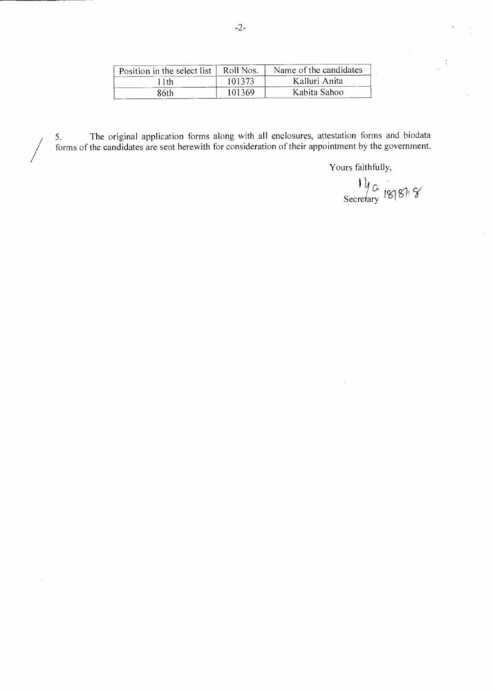| Position in the select list, | - Roll<br>Nos. | Name of the candidates |  |
|------------------------------|----------------|------------------------|--|
| -1th                         | 101373         | Kalluri Anita          |  |
| 86th                         | 101369.        | Kabita Sahoo           |  |

5. The original application forms along with all enclosures, attestation forms and biodata forms of the candidates are sent herewith for consideration of their appointment by the government.

 $\overline{\phantom{a}}$ 

Yours faithfully,

 $\frac{11}{\sqrt{2}}$   $\frac{13}{8}$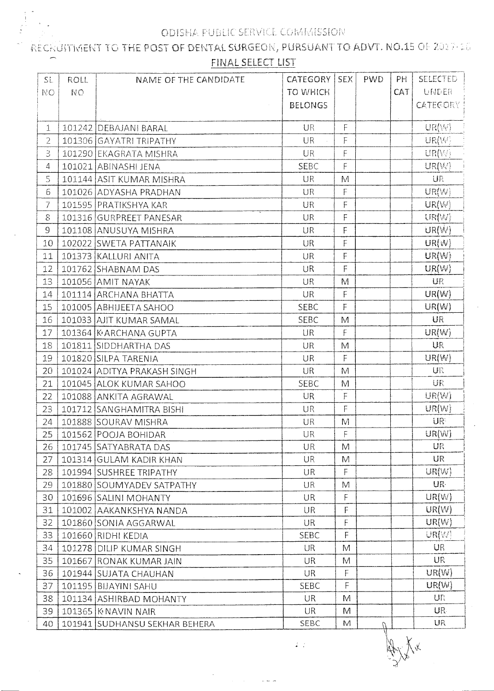RECHAITMENT TO THE POST OF DENTAL SURGEON, PURSUANT TO ADVT. NO.15 OF 2017-18 FINAL SELECT LIST

| SL.            | <b>ROLL</b> | NAME OF THE CANDIDATE         | <b>CATEGORY</b> | <b>SEX</b>                                                                                                 | <b>PWD</b> | PH  | <b>SELECTED</b> |
|----------------|-------------|-------------------------------|-----------------|------------------------------------------------------------------------------------------------------------|------------|-----|-----------------|
| <b>NO</b>      | <b>NO</b>   |                               | <b>TO WHICH</b> |                                                                                                            |            | CAT | UNDER           |
|                |             |                               | <b>BELONGS</b>  |                                                                                                            |            |     | <b>CATEGORY</b> |
|                |             |                               |                 |                                                                                                            |            |     |                 |
| $\mathbf{1}$   |             | 101242 DEBAJANI BARAL         | <b>UR</b>       | $\mathsf F$                                                                                                |            |     | UR(W)           |
| $\overline{2}$ |             | 101306 GAYATRI TRIPATHY       | <b>UR</b>       | $\mathsf F$                                                                                                |            |     | UR(W)           |
| 3              |             | 101290 EKAGRATA MISHRA        | UR              | F                                                                                                          |            |     | UR(W)           |
| 4              |             | 101021 ABINASHI JENA          | <b>SEBC</b>     | $\overline{\mathsf{F}}$                                                                                    |            |     | UR(W)           |
| 5              |             | 101144 ASIT KUMAR MISHRA      | <b>UR</b>       | M                                                                                                          |            |     | UR              |
| 6              |             | 101026 ADYASHA PRADHAN        | UR              | F                                                                                                          |            |     | UR(W)           |
| 7              |             | 101595 PRATIKSHYA KAR         | <b>UR</b>       | F                                                                                                          |            |     | UR(W)           |
| 8              |             | 101316 GURPREET PANESAR       | UR              | F                                                                                                          |            |     | UR(W)           |
| 9              |             | 101108 ANUSUYA MISHRA         | UR              | F                                                                                                          |            |     | UR(W)           |
| 10             |             | 102022 SWETA PATTANAIK        | <b>UR</b>       | F                                                                                                          |            |     | UR(W)           |
| 11             |             | 101373 KALLURI ANITA          | <b>UR</b>       | F                                                                                                          |            |     | UR(W)           |
| 12             |             | 101762 SHABNAM DAS            | <b>UR</b>       | F                                                                                                          |            |     | UR(W)           |
| 13             |             | 101056 AMIT NAYAK             | <b>UR</b>       | M                                                                                                          |            |     | UR              |
| 14             |             | 101114 ARCHANA BHATTA         | <b>UR</b>       | $\mathsf F$                                                                                                |            |     | UR(W)           |
| 15             |             | 101005 ABHIJEETA SAHOO        | <b>SEBC</b>     | F                                                                                                          |            |     | UR(W)           |
| 16             |             | 101033 AJIT KUMAR SAMAL       | <b>SEBC</b>     | M                                                                                                          |            |     | UR              |
| 17             |             | 101364 KARCHANA GUPTA         | UR              | F                                                                                                          |            |     | UR(W)           |
| 18             |             | 101811 SIDDHARTHA DAS         | <b>UR</b>       | M                                                                                                          |            |     | UR              |
| 19             |             | 101820 SILPA TARENIA          | <b>UR</b>       | F                                                                                                          |            |     | UR(W)           |
| 20             |             | 101024 ADITYA PRAKASH SINGH   | <b>UR</b>       | $\mathbb{M}$                                                                                               |            |     | <b>UR</b>       |
| 21             |             | 101045 ALOK KUMAR SAHOO       | SEBC            | M                                                                                                          |            |     | UR              |
| 22             |             | 101088 ANKITA AGRAWAL         | <b>UR</b>       | $\mathsf F$                                                                                                |            |     | UR(W)           |
| 23             |             | 101712 SANGHAMITRA BISHI      | UR              | F                                                                                                          |            |     | UR(W)           |
| 24             |             | 101888 SOURAV MISHRA          | UR              | $\mathsf{M}% _{T}=\mathsf{M}_{T}\!\left( a,b\right) ,\ \mathsf{M}_{T}=\mathsf{M}_{T}\!\left( a,b\right) ,$ |            |     | UR              |
| 25             |             | 101562 POOJA BOHIDAR          | UR              | $\mathsf F$                                                                                                |            |     | UR(W)           |
| 26             |             | 101745 SATYABRATA DAS         | <b>UR</b>       | M                                                                                                          |            |     | UR              |
| 27             |             | 101314 GULAM KADIR KHAN       | <b>UR</b>       | M                                                                                                          |            |     | UR              |
| 28             |             | 101994 SUSHREE TRIPATHY       | UR              | $\mathsf F$                                                                                                |            |     | UR(W)           |
| 29             |             | 101880 SOUMYADEV SATPATHY     | UR              | M                                                                                                          |            |     | UR-             |
| 30             |             | 101696 SALINI MOHANTY         | <b>UR</b>       | F                                                                                                          |            |     | UR(W)           |
| 31             |             | 101002 AAKANKSHYA NANDA       | UR              | F.                                                                                                         |            |     | UR(W)           |
| 32             |             | 101860 SONIA AGGARWAL         | <b>UR</b>       | F                                                                                                          |            |     | UR(W)           |
| 33             |             | 101660 RIDHI KEDIA            | <b>SEBC</b>     | F                                                                                                          |            |     | UR(W)           |
| 34             |             | 101278 DILIP KUMAR SINGH      | <b>UR</b>       | M                                                                                                          |            |     | <b>UR</b>       |
| 35             |             | 101667 RONAK KUMAR JAIN       | <b>UR</b>       | M                                                                                                          |            |     | <b>UR</b>       |
| 36             |             | 101944 SUJATA CHAUHAN         | <b>UR</b>       | F                                                                                                          |            |     | UR(W)           |
| 37             |             | 101195 BIJAYINI SAHU          | <b>SEBC</b>     | F                                                                                                          |            |     | UR(W)           |
| 38             |             | 101134 ASHIRBAD MOHANTY       | <b>UR</b>       | M                                                                                                          |            |     | UR.             |
| 39             |             | 101365   K NAVIN NAIR         | <b>UR</b>       | M                                                                                                          |            |     | UR.             |
| 40             |             | 101941 SUDHANSU SEKHAR BEHERA | SEBC            | M                                                                                                          | $\Omega$   |     | UR              |

 $\frac{3}{2}$  ,  $\frac{1}{2}$ 

Xx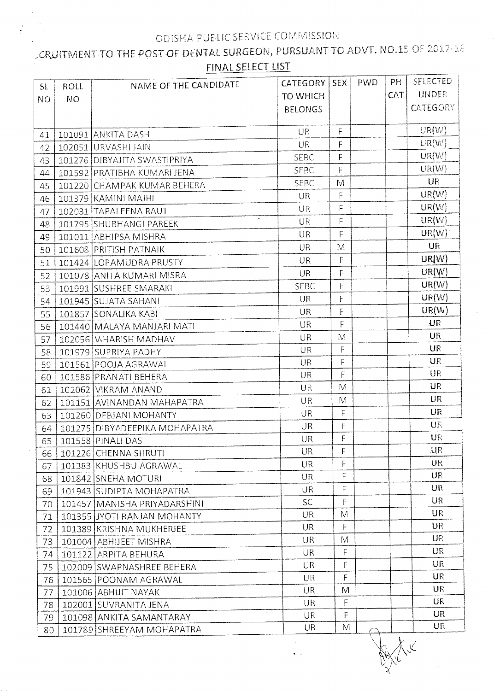## CRUITMENT TO THE POST OF DENTAL SURGEON, PURSUANT TO ADVT. NO.15 OF 2017-18 FINAL SELECT LIST

| SL.       | ROLL      | NAME OF THE CANDIDATE         | <b>CATEGORY</b> | <b>SEX</b>     | PWD | PH           | <b>SELECTED</b> |
|-----------|-----------|-------------------------------|-----------------|----------------|-----|--------------|-----------------|
| <b>NO</b> | <b>NO</b> |                               | <b>TO WHICH</b> |                |     | <b>CAT</b>   | <b>UNDER</b>    |
|           |           |                               | <b>BELONGS</b>  |                |     |              | <b>CATEGORY</b> |
|           |           |                               |                 |                |     |              |                 |
| 41        |           | 101091 ANKITA DASH            | UR              | F              |     |              | UR(W)           |
| 42        |           | 102051 URVASHI JAIN           | <b>UR</b>       | F              |     |              | UR(W)           |
| 43        |           | 101276 DIBYAJITA SWASTIPRIYA  | SEBC            | F              |     |              | UR(W)           |
| 44        |           | 101592 PRATIBHA KUMARI JENA   | SEBC            | F              |     |              | UR(W)           |
| 45        |           | 101220 CHAMPAK KUMAR BEHERA   | SEBC            | M              |     |              | <b>UR</b>       |
| 46        |           | 101379 KAMINI MAJHI           | <b>UR</b>       | F              |     |              | UR(W)           |
| 47        |           | 102031 TAPALEENA RAUT         | UR              | $\mathsf F$    |     |              | UR(W)           |
| 48        |           | 101795 SHUBHANGI PAREEK       | UR              | F              |     |              | UR(W)           |
| 49        |           | 101011 ABHIPSA MISHRA         | UR              | F              |     |              | UR(W)           |
| 50        |           | 101608 PRITISH PATNAIK        | UR              | M              |     |              | <b>UR</b>       |
| 51        |           | 101424 LOPAMUDRA PRUSTY       | UR              | $\overline{F}$ |     |              | UR(W)           |
| 52        |           | 101078 ANITA KUMARI MISRA     | <b>UR</b>       | $\mathsf F$    |     | $\mathbf{r}$ | UR(W)           |
| 53        |           | 101991 SUSHREE SMARAKI        | <b>SEBC</b>     | F              |     |              | UR(W)           |
| 54        |           | 101945 SUJATA SAHANI          | <b>UR</b>       | F              |     |              | UR(W)           |
| 55        |           | 101857 SONALIKA KABI          | UR              | F              |     |              | UR(W)           |
| 56        |           | 101440 MALAYA MANJARI MATI    | <b>UR</b>       | F              |     |              | U <sub>R</sub>  |
| 57        |           | 102056 V-HARISH MADHAV        | <b>UR</b>       | M              |     |              | UR.             |
| 58        |           | 101979 SUPRIYA PADHY          | UR              | $\mathsf F$    |     |              | <b>UR</b>       |
| 59        |           | 101561 POOJA AGRAWAL          | UR              | F              |     |              | <b>UR</b>       |
| 60        |           | 101586 PRANATI BEHERA         | UR              | F              |     |              | UR              |
| 61        |           | 102062 VIKRAM ANAND           | UR              | M              |     |              | <b>UR</b>       |
| 62        |           | 101151 AVINANDAN MAHAPATRA    | UR              | M              |     |              | UR              |
| 63        |           | 101260 DEBJANI MOHANTY        | UR              | F              |     |              | UR              |
| 64        |           | 101275 DIBYADEEPIKA MOHAPATRA | UR              | F              |     |              | UR              |
| 65        |           | 101558 PINALI DAS             | <b>UR</b>       | $\mathsf F$    |     |              | UR              |
| 66        |           | 101226 CHENNA SHRUTI          | UR              | $\mathsf F$    |     |              | <b>UR</b>       |
| 67        |           | 101383 KHUSHBU AGRAWAL        | <b>UR</b>       | F              |     |              | UR              |
| 68        |           | 101842 SNEHA MOTURI           | <b>UR</b>       | F              |     |              | UR              |
| 69        |           | 101943 SUDIPTA MOHAPATRA      | <b>UR</b>       | F              |     |              | UR              |
| 70        |           | 101457 MANISHA PRIYADARSHINI  | <b>SC</b>       | F              |     |              | UR              |
| 71        |           | 101355 JYOTI RANJAN MOHANTY   | <b>UR</b>       | M              |     |              | UR              |
| 72        |           | 101389 KRISHNA MUKHERJEE      | UR.             | F              |     |              | UR              |
| 73        |           | 101004 ABHIJEET MISHRA        | <b>UR</b>       | M              |     |              | UR              |
| 74        |           | 101122 ARPITA BEHURA          | <b>UR</b>       | F              |     |              | UR              |
| 75        |           | 102009 SWAPNASHREE BEHERA     | UR              | F              |     |              | <b>UR</b>       |
| 76        |           | 101565 POONAM AGRAWAL         | <b>UR</b>       | F              |     |              | UR              |
| 77        |           | 101006 ABHIJIT NAYAK          | <b>UR</b>       | M              |     |              | <b>UR</b>       |
| 78        |           | 102001 SUVRANITA JENA         | <b>UR</b>       | F              |     |              | UR.             |
| 79        |           | 101098 ANKITA SAMANTARAY      | <b>UR</b>       | F              |     |              | <b>UR</b>       |
| 80        |           | 101789 SHREEYAM MOHAPATRA     | UR.             | M              |     |              | UF              |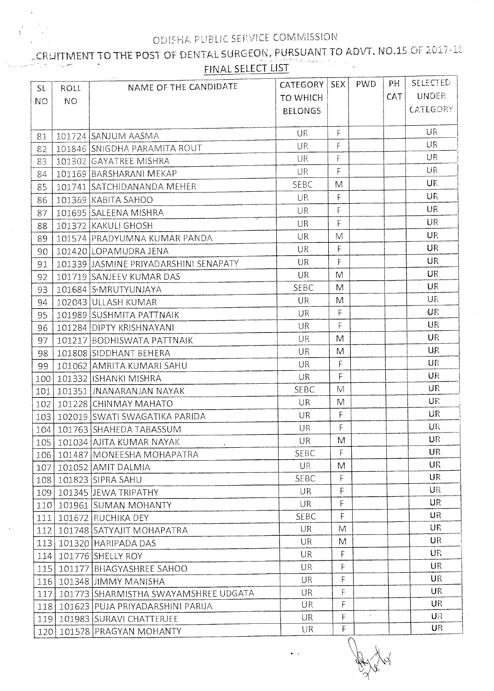#### CRUITMENT TO THE POST OF DENTAL SURGEON, PURSUANT TO ADVT. NO.15 OF 2017-18 المن المستخدم المعاملة.<br>والمستخدم FINAL SELECT LIST  $\omega_{\rm{c}}$  , and

| SL.       | ROLL      | NAME OF THE CANDIDATE                  | <b>CATEGORY</b> | <b>SEX</b>   | <b>PWD</b> | PH   | <b>SELECTED</b> |
|-----------|-----------|----------------------------------------|-----------------|--------------|------------|------|-----------------|
| <b>NO</b> | <b>NO</b> |                                        | TO WHICH        |              |            | CAT. | <b>UNDER</b>    |
|           |           |                                        | <b>BELONGS</b>  |              |            |      | <b>CATEGORY</b> |
|           |           |                                        |                 |              |            |      |                 |
| 81        |           | 101724 SANJUM AASMA                    | <b>UR</b>       | F            |            |      | UR              |
| 82        |           | 101846 SNIGDHA PARAMITA ROUT           | UR              | F            |            |      | UR              |
| 83        |           | 101302 GAYATREE MISHRA                 | UR              | F            |            |      | UR              |
| 84        |           | 101169 BARSHARANI MEKAP                | <b>UR</b>       | F            |            |      | UR              |
| 85        |           | 101741 SATCHIDANANDA MEHER             | <b>SEBC</b>     | M            |            |      | <b>UR</b>       |
| 86        |           | 101369 KABITA SAHOO                    | <b>UR</b>       | F            |            |      | UR              |
| 87        |           | 101695 SALEENA MISHRA                  | UR              | F            |            |      | UR              |
| 88        |           | 101372 KAKULI GHOSH                    | UR              | F            |            |      | <b>UR</b>       |
| 89        |           | 101574 PRADYUMNA KUMAR PANDA           | UR              | M            |            |      | <b>UR</b>       |
| 90        |           | 101420 LOPAMUDRA JENA                  | UR              | F            |            |      | <b>UR</b>       |
| 91        |           | 101339 JJASMINE PRIYADARSHINI SENAPATY | <b>UR</b>       | F            |            |      | <b>UR</b>       |
| 92        |           | 101719 SANJEEV KUMAR DAS               | <b>UR</b>       | M            |            |      | UR              |
| 93        |           | 101684 SMRUTYUNJAYA                    | <b>SEBC</b>     | M            |            |      | UR              |
| 94        |           | 102043 ULLASH KUMAR                    | <b>UR</b>       | M            |            |      | UR              |
| 95        |           | 101989 SUSHMITA PATTNAIK               | <b>UR</b>       | F            |            |      | UR.             |
| 96        |           | 101284 DIPTY KRISHNAYANI               | <b>UR</b>       | F            |            |      | <b>UR</b>       |
| 97        |           | 101217 BODHISWATA PATTNAIK             | <b>UR</b>       | M            |            |      | <b>UR</b>       |
| 98        |           | 101808 SIDDHANT BEHERA                 | <b>UR</b>       | M            |            |      | <b>UR</b>       |
| 99        |           | 101062 AMRITA KUMARI SAHU              | <b>UR</b>       | F            |            |      | <b>UR</b>       |
| 100       |           | 101332 ISHANKI MISHRA                  | <b>UR</b>       | F            |            |      | UR              |
| 101       |           | 101351 JNANARANJAN NAYAK               | <b>SEBC</b>     | M            |            |      | UR              |
| 102       |           | 101228 CHINMAY MAHATO                  | <b>UR</b>       | M            |            |      | UR              |
| 103       |           | 102019 SWATI SWAGATIKA PARIDA          | <b>UR</b>       | F            |            |      | <b>UR</b>       |
| 104       |           | 101763 SHAHEDA TABASSUM                | UR              | $\mathsf{F}$ |            |      | UR              |
|           |           | 105   101034 AJITA KUMAR NAYAK         | UR              | M            |            |      | UR              |
| 106       |           | 101487   MONEESHA MOHAPATRA            | <b>SEBC</b>     | F            |            |      | <b>UR</b>       |
| 107       |           | 101052 AMIT DALMIA                     | <b>UR</b>       | M            |            |      | UR              |
| 108       |           | 101823 SIPRA SAHU                      | <b>SEBC</b>     | F            |            |      | UR              |
| 109       |           | 101345 JEWA TRIPATHY                   | <b>UR</b>       | F            |            |      | UR              |
| 110       |           | 101961 SUMAN MOHANTY                   | <b>UR</b>       | F            |            |      | UR              |
| 111       |           | 101672 RUCHIKA DEY                     | <b>SEBC</b>     | F            |            |      | <b>UR</b>       |
| 112       |           | 101748 SATYAJIT MOHAPATRA              | UR              | M            |            |      | UR              |
| 113       |           | 101320 HARIPADA DAS                    | <b>UR</b>       | M            |            |      | UR              |
| 114       |           | 101776 SHELLY ROY                      | <b>UR</b>       | F            |            |      | <b>UR</b>       |
| 115       |           | 101177 BHAGYASHREE SAHOO               | <b>UR</b>       | F            |            |      | <b>UR</b>       |
| 116       |           | 101348 JIMMY MANISHA                   | <b>UR</b>       | F            |            |      | <b>UR</b>       |
| 117       |           | 101773 SHARMISTHA SWAYAMSHREE UDGATA   | UR              | F            |            |      | UR              |
| 118       |           | 101623 PUJA PRIYADARSHINI PARIJA       | <b>UR</b>       | F            |            |      | <b>UR</b>       |
| 119       |           | 101983 SURAVI CHATTERJEE               | UR              | F            | $\omega$   |      | UR              |
| 120       |           | 101578 PRAGYAN MOHANTY                 | UR.             | F            |            |      | <b>UR</b>       |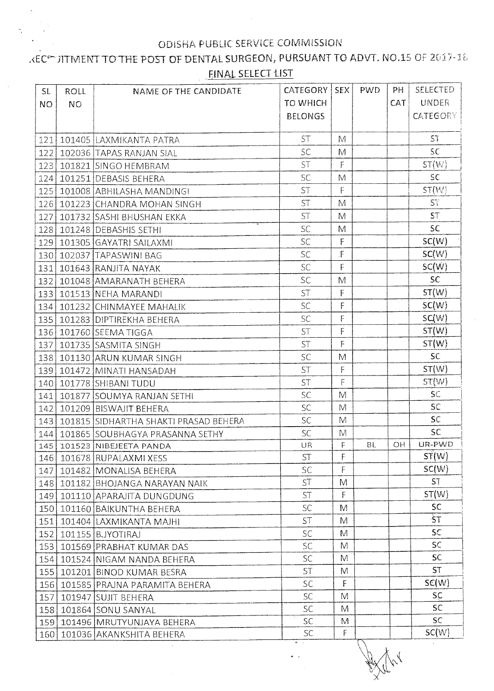### KEC™ JITMENT TO THE POST OF DENTAL SURGEON, PURSUANT TO ADVT. NO.15 OF 2017-18 FINAL SELECT LIST

| <b>SL</b> | ROLL      | NAME OF THE CANDIDATE                 | CATEGORY   SEX  |              | <b>PWD</b> | PH         | <b>SELECTED</b> |
|-----------|-----------|---------------------------------------|-----------------|--------------|------------|------------|-----------------|
| <b>NO</b> | <b>NO</b> |                                       | <b>TO WHICH</b> |              |            | <b>CAT</b> | <b>UNDER</b>    |
|           |           |                                       | <b>BELONGS</b>  |              |            |            | <b>CATEGORY</b> |
|           |           |                                       |                 |              |            |            |                 |
|           |           | 121 101405 LAXMIKANTA PATRA           | <b>ST</b>       | M            |            |            | ST.             |
| 122       |           | 102036 TAPAS RANJAN SIAL              | <b>SC</b>       | M            |            |            | SC              |
|           |           | 123   101821   SINGO HEMBRAM          | <b>ST</b>       | F            |            |            | ST(W)           |
|           |           | 124 101251 DEBASIS BEHERA             | <b>SC</b>       | M            |            |            | SC              |
| 125       |           | 101008   ABHILASHA MANDINGI           | <b>ST</b>       | F            |            |            | ST(W)           |
| 126       |           | 101223 CHANDRA MOHAN SINGH            | ST              | M            |            |            | $S_i$           |
| 127       |           | 101732 SASHI BHUSHAN EKKA             | ST              | M            |            |            | ST              |
|           |           | 128 101248 DEBASHIS SETHI             | <b>SC</b>       | M            |            |            | SC              |
| 129       |           | 101305 GAYATRI SAILAXMI               | <b>SC</b>       | $\mathsf F$  |            |            | SC(W)           |
|           |           | 130 102037 TAPASWINI BAG              | <b>SC</b>       | $\mathsf F$  |            |            | SC(W)           |
| 131       |           | 101643 RANJITA NAYAK                  | <b>SC</b>       | $\mathsf{F}$ |            |            | SC(W)           |
| 132       |           | 101048 AMARANATH BEHERA               | <b>SC</b>       | M            |            |            | SC              |
| 133       |           | 101513 NEHA MARANDI                   | ST              | $\mathsf F$  |            |            | ST(W)           |
| 134       |           | 101232 CHINMAYEE MAHALIK              | <b>SC</b>       | F            |            |            | SC(W)           |
| 135       |           | 101283 DIPTIREKHA BEHERA              | SC              | F            |            |            | SC(W)           |
| 136       |           | 101760 SEEMA TIGGA                    | <b>ST</b>       | F            |            |            | ST(W)           |
| 137       |           | 101735 SASMITA SINGH                  | <b>ST</b>       | F            |            |            | ST(W)           |
| 138       |           | 101130 ARUN KUMAR SINGH               | <b>SC</b>       | M            |            |            | SC              |
| 139       |           | 101472 MINATI HANSADAH                | <b>ST</b>       | F            |            |            | ST(W)           |
| 140       |           | 101778 SHIBANI TUDU                   | <b>ST</b>       | $\mathsf{F}$ |            |            | ST(W)           |
| 141       |           | 101877 SOUMYA RANJAN SETHI            | <b>SC</b>       | M            |            |            | SC              |
| 142       |           | 101209 BISWAJIT BEHERA                | <b>SC</b>       | M            |            |            | SC              |
| 143       |           | 101815 SIDHARTHA SHAKTI PRASAD BEHERA | <b>SC</b>       | M            |            |            | SC              |
| 144       |           | 101865 SOUBHAGYA PRASANNA SETHY       | <b>SC</b>       | M            |            |            | SC              |
| 145       |           | 101523 NIBEJEETA PANDA                | UR              | F            | <b>BL</b>  | OH         | UR-PWD          |
|           |           | 146   101678   RUPALAXMI XESS         | <b>ST</b>       | F            |            |            | ST(W)           |
|           |           | 147   101482   MONALISA BEHERA        | <b>SC</b>       | F            |            |            | SC(W)           |
|           |           | 148 101182 BHOJANGA NARAYAN NAIK      | ST              | M            |            |            | <b>ST</b>       |
|           |           | 149 101110 APARAJITA DUNGDUNG         | <b>ST</b>       | F            |            |            | ST(W)           |
|           |           | 150 101160 BAIKUNTHA BEHERA           | SC              | M            |            |            | SC.             |
|           |           | 151   101404   LAXMIKANTA MAJHI       | ST              | M            |            |            | -ŠT             |
|           |           | 152 101155 BJYOTIRAJ                  | <b>SC</b>       | M            |            |            | SC.             |
|           |           | 153 101569 PRABHAT KUMAR DAS          | <b>SC</b>       | M            |            |            | SC              |
|           |           | 154   101524   NIGAM NANDA BEHERA     | <b>SC</b>       | M            |            |            | SC.             |
|           |           | 155   101201   BINOD KUMAR BESRA      | <b>ST</b>       | M            |            |            | <b>ST</b>       |
| 156       |           | 101585 PRAJNA PARAMITA BEHERA         | <b>SC</b>       | F            |            |            | SC(W)           |
| 157       |           | 101947 SUJIT BEHERA                   | SC.             | M            |            |            | SC.             |
| 158       |           | 101864 SONU SANYAL                    | <b>SC</b>       | M            |            |            | SC.             |
|           |           | 159 101496 MRUTYUNJAYA BEHERA         | SC              | M            |            |            | SC.             |
| 160       |           | 101036 AKANKSHITA BEHERA              | SC.             | F            |            |            | SC(W)           |